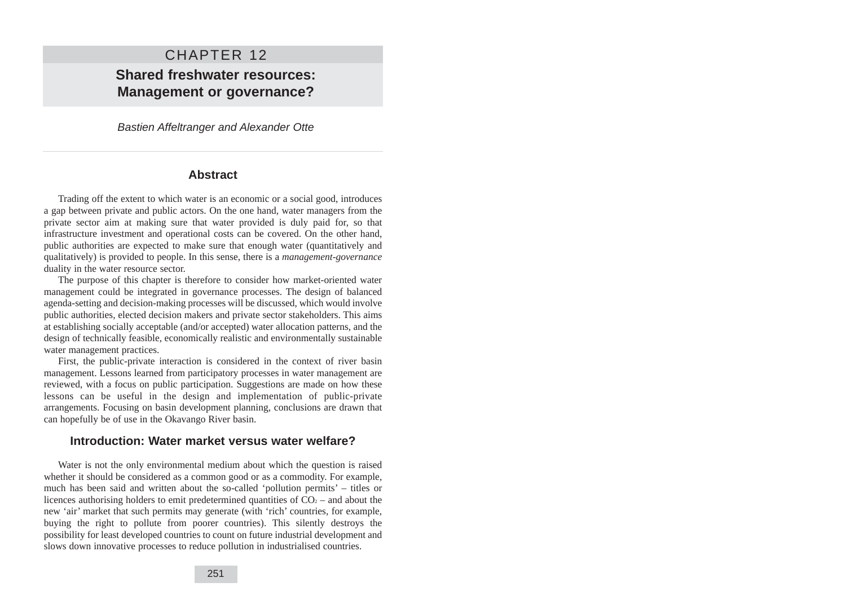# CHAPTER 12 **Shared freshwater resources: Management or governance?**

Bastien Affeltranger and Alexander Otte

### **Abstract**

Trading off the extent to which water is an economic or a social good, introduces a gap between private and public actors. On the one hand, water managers from the private sector aim at making sure that water provided is duly paid for, so that infrastructure investment and operational costs can be covered. On the other hand, public authorities are expected to make sure that enough water (quantitatively and qualitatively) is provided to people. In this sense, there is a *management-governance* duality in the water resource sector.

The purpose of this chapter is therefore to consider how market-oriented water management could be integrated in governance processes. The design of balanced agenda-setting and decision-making processes will be discussed, which would involve public authorities, elected decision makers and private sector stakeholders. This aims at establishing socially acceptable (and/or accepted) water allocation patterns, and the design of technically feasible, economically realistic and environmentally sustainable water management practices.

First, the public-private interaction is considered in the context of river basin management. Lessons learned from participatory processes in water management are reviewed, with a focus on public participation. Suggestions are made on how these lessons can be useful in the design and implementation of public-private arrangements. Focusing on basin development planning, conclusions are drawn that can hopefully be of use in the Okavango River basin.

### **Introduction: Water market versus water welfare?**

Water is not the only environmental medium about which the question is raised whether it should be considered as a common good or as a commodity. For example, much has been said and written about the so-called 'pollution permits' – titles or licences authorising holders to emit predetermined quantities of  $CO<sub>2</sub>$  – and about the new 'air' market that such permits may generate (with 'rich' countries, for example, buying the right to pollute from poorer countries). This silently destroys the possibility for least developed countries to count on future industrial development and slows down innovative processes to reduce pollution in industrialised countries.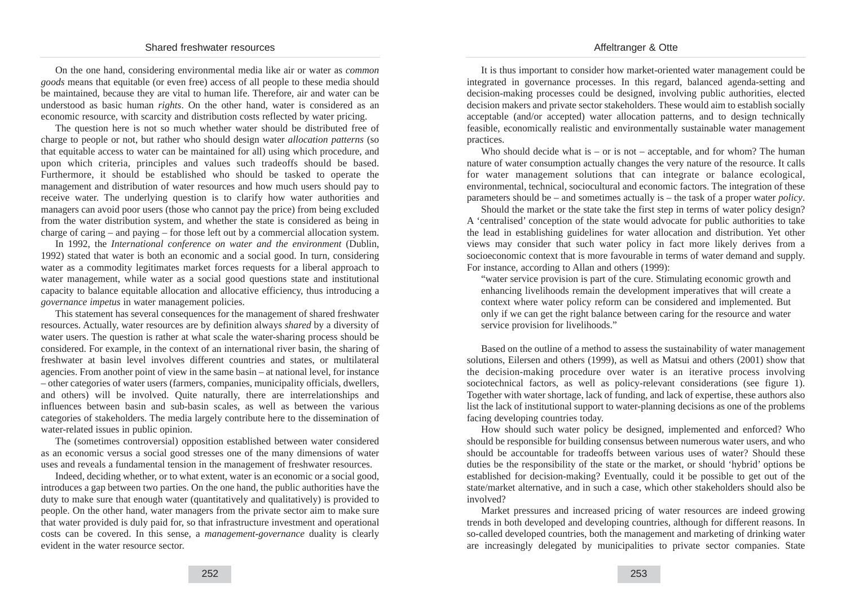On the one hand, considering environmental media like air or water as *common goods* means that equitable (or even free) access of all people to these media should be maintained, because they are vital to human life. Therefore, air and water can be understood as basic human *rights*. On the other hand, water is considered as an economic resource, with scarcity and distribution costs reflected by water pricing.

The question here is not so much whether water should be distributed free of charge to people or not, but rather who should design water *allocation patterns* (so that equitable access to water can be maintained for all) using which procedure, and upon which criteria, principles and values such tradeoffs should be based. Furthermore, it should be established who should be tasked to operate the management and distribution of water resources and how much users should pay to receive water. The underlying question is to clarify how water authorities and managers can avoid poor users (those who cannot pay the price) from being excluded from the water distribution system, and whether the state is considered as being in charge of caring – and paying – for those left out by a commercial allocation system.

In 1992, the *International conference on water and the environment* (Dublin, 1992) stated that water is both an economic and a social good. In turn, considering water as a commodity legitimates market forces requests for a liberal approach to water management, while water as a social good questions state and institutional capacity to balance equitable allocation and allocative efficiency, thus introducing a *governance impetus* in water management policies.

This statement has several consequences for the management of shared freshwater resources. Actually, water resources are by definition always *shared* by a diversity of water users. The question is rather at what scale the water-sharing process should be considered. For example, in the context of an international river basin, the sharing of freshwater at basin level involves different countries and states, or multilateral agencies. From another point of view in the same basin – at national level, for instance – other categories of water users (farmers, companies, municipality officials, dwellers, and others) will be involved. Quite naturally, there are interrelationships and influences between basin and sub-basin scales, as well as between the various categories of stakeholders. The media largely contribute here to the dissemination of water-related issues in public opinion.

The (sometimes controversial) opposition established between water considered as an economic versus a social good stresses one of the many dimensions of water uses and reveals a fundamental tension in the management of freshwater resources.

Indeed, deciding whether, or to what extent, water is an economic or a social good, introduces a gap between two parties. On the one hand, the public authorities have the duty to make sure that enough water (quantitatively and qualitatively) is provided to people. On the other hand, water managers from the private sector aim to make sure that water provided is duly paid for, so that infrastructure investment and operational costs can be covered. In this sense, a *management-governance* duality is clearly evident in the water resource sector.

It is thus important to consider how market-oriented water management could be integrated in governance processes. In this regard, balanced agenda-setting and decision-making processes could be designed, involving public authorities, elected decision makers and private sector stakeholders. These would aim to establish socially acceptable (and/or accepted) water allocation patterns, and to design technically feasible, economically realistic and environmentally sustainable water management practices.

Who should decide what is – or is not – acceptable, and for whom? The human nature of water consumption actually changes the very nature of the resource. It calls for water management solutions that can integrate or balance ecological, environmental, technical, sociocultural and economic factors. The integration of these parameters should be – and sometimes actually is – the task of a proper water *policy*.

Should the market or the state take the first step in terms of water policy design? A 'centralised' conception of the state would advocate for public authorities to take the lead in establishing guidelines for water allocation and distribution. Yet other views may consider that such water policy in fact more likely derives from a socioeconomic context that is more favourable in terms of water demand and supply. For instance, according to Allan and others (1999):

"water service provision is part of the cure. Stimulating economic growth and enhancing livelihoods remain the development imperatives that will create a context where water policy reform can be considered and implemented. But only if we can get the right balance between caring for the resource and water service provision for livelihoods."

Based on the outline of a method to assess the sustainability of water management solutions, Eilersen and others (1999), as well as Matsui and others (2001) show that the decision-making procedure over water is an iterative process involving sociotechnical factors, as well as policy-relevant considerations (see figure 1). Together with water shortage, lack of funding, and lack of expertise, these authors also list the lack of institutional support to water-planning decisions as one of the problems facing developing countries today.

How should such water policy be designed, implemented and enforced? Who should be responsible for building consensus between numerous water users, and who should be accountable for tradeoffs between various uses of water? Should these duties be the responsibility of the state or the market, or should 'hybrid' options be established for decision-making? Eventually, could it be possible to get out of the state/market alternative, and in such a case, which other stakeholders should also be involved?

Market pressures and increased pricing of water resources are indeed growing trends in both developed and developing countries, although for different reasons. In so-called developed countries, both the management and marketing of drinking water are increasingly delegated by municipalities to private sector companies. State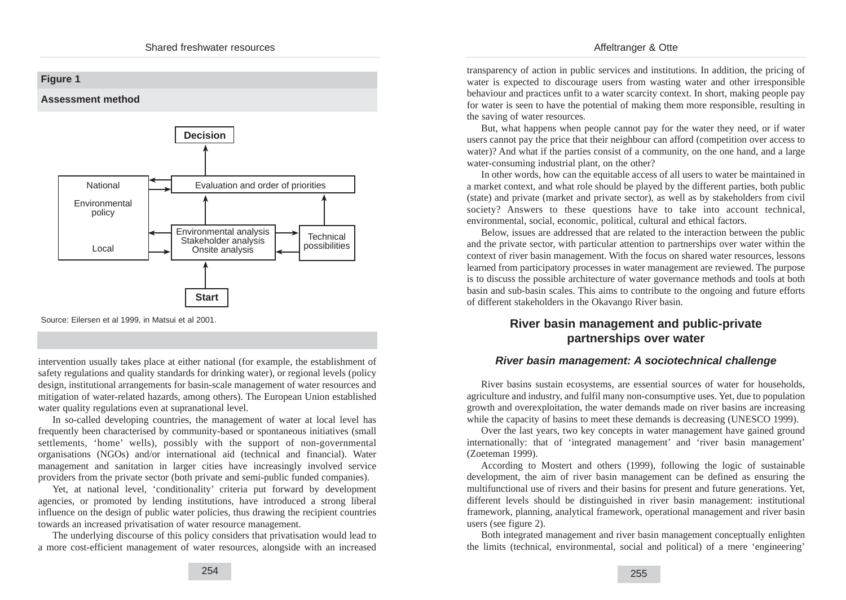### **Figure 1**

**Assessment method**



Source: Eilersen et al 1999, in Matsui et al 2001.

intervention usually takes place at either national (for example, the establishment of safety regulations and quality standards for drinking water), or regional levels (policy design, institutional arrangements for basin-scale management of water resources and mitigation of water-related hazards, among others). The European Union established water quality regulations even at supranational level.

In so-called developing countries, the management of water at local level has frequently been characterised by community-based or spontaneous initiatives (small settlements, 'home' wells), possibly with the support of non-governmental organisations (NGOs) and/or international aid (technical and financial). Water management and sanitation in larger cities have increasingly involved service providers from the private sector (both private and semi-public funded companies).

Yet, at national level, 'conditionality' criteria put forward by development agencies, or promoted by lending institutions, have introduced a strong liberal influence on the design of public water policies, thus drawing the recipient countries towards an increased privatisation of water resource management.

The underlying discourse of this policy considers that privatisation would lead to a more cost-efficient management of water resources, alongside with an increased

transparency of action in public services and institutions. In addition, the pricing of water is expected to discourage users from wasting water and other irresponsible behaviour and practices unfit to a water scarcity context. In short, making people pay for water is seen to have the potential of making them more responsible, resulting in the saving of water resources.

But, what happens when people cannot pay for the water they need, or if water users cannot pay the price that their neighbour can afford (competition over access to water)? And what if the parties consist of a community, on the one hand, and a large water-consuming industrial plant, on the other?

In other words, how can the equitable access of all users to water be maintained in a market context, and what role should be played by the different parties, both public (state) and private (market and private sector), as well as by stakeholders from civil society? Answers to these questions have to take into account technical, environmental, social, economic, political, cultural and ethical factors.

Below, issues are addressed that are related to the interaction between the public and the private sector, with particular attention to partnerships over water within the context of river basin management. With the focus on shared water resources, lessons learned from participatory processes in water management are reviewed. The purpose is to discuss the possible architecture of water governance methods and tools at both basin and sub-basin scales. This aims to contribute to the ongoing and future efforts of different stakeholders in the Okavango River basin.

## **River basin management and public-private partnerships over water**

### **River basin management: A sociotechnical challenge**

River basins sustain ecosystems, are essential sources of water for households, agriculture and industry, and fulfil many non-consumptive uses. Yet, due to population growth and overexploitation, the water demands made on river basins are increasing while the capacity of basins to meet these demands is decreasing (UNESCO 1999).

Over the last years, two key concepts in water management have gained ground internationally: that of 'integrated management' and 'river basin management' (Zoeteman 1999).

According to Mostert and others (1999), following the logic of sustainable development, the aim of river basin management can be defined as ensuring the multifunctional use of rivers and their basins for present and future generations. Yet, different levels should be distinguished in river basin management: institutional framework, planning, analytical framework, operational management and river basin users (see figure 2).

Both integrated management and river basin management conceptually enlighten the limits (technical, environmental, social and political) of a mere 'engineering'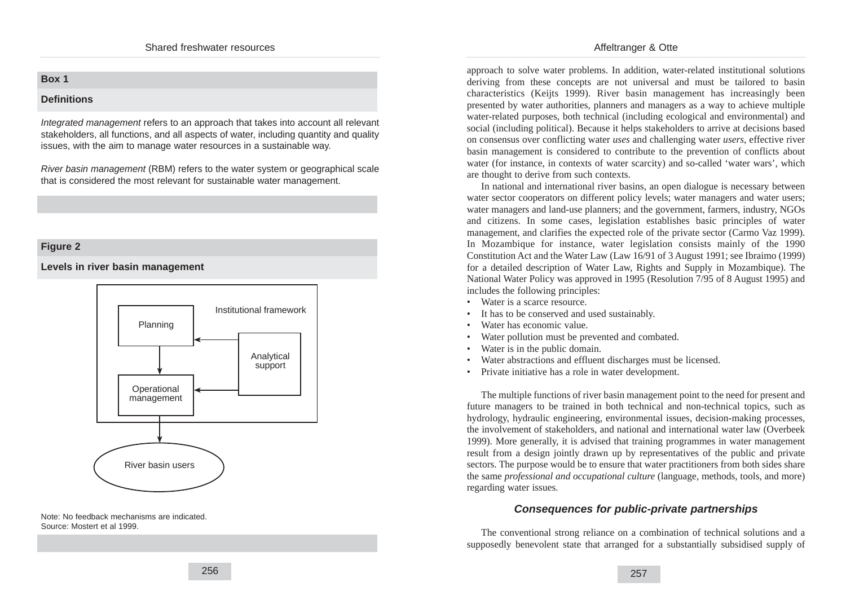### Affeltranger & Otte

### **Box 1**

#### **Definitions**

Integrated management refers to an approach that takes into account all relevant stakeholders, all functions, and all aspects of water, including quantity and quality issues, with the aim to manage water resources in a sustainable way.

River basin management (RBM) refers to the water system or geographical scale that is considered the most relevant for sustainable water management.

### **Figure 2**

**Levels in river basin management**



Note: No feedback mechanisms are indicated. Source: Mostert et al 1999.

approach to solve water problems. In addition, water-related institutional solutions deriving from these concepts are not universal and must be tailored to basin characteristics (Keijts 1999). River basin management has increasingly been presented by water authorities, planners and managers as a way to achieve multiple water-related purposes, both technical (including ecological and environmental) and social (including political). Because it helps stakeholders to arrive at decisions based on consensus over conflicting water *uses* and challenging water *users*, effective river basin management is considered to contribute to the prevention of conflicts about water (for instance, in contexts of water scarcity) and so-called 'water wars', which are thought to derive from such contexts.

In national and international river basins, an open dialogue is necessary between water sector cooperators on different policy levels; water managers and water users; water managers and land-use planners; and the government, farmers, industry, NGOs and citizens. In some cases, legislation establishes basic principles of water management, and clarifies the expected role of the private sector (Carmo Vaz 1999). In Mozambique for instance, water legislation consists mainly of the 1990 Constitution Act and the Water Law (Law 16/91 of 3 August 1991; see Ibraimo (1999) for a detailed description of Water Law, Rights and Supply in Mozambique). The National Water Policy was approved in 1995 (Resolution 7/95 of 8 August 1995) and includes the following principles:

- Water is a scarce resource.
- It has to be conserved and used sustainably.
- Water has economic value.
- Water pollution must be prevented and combated.
- Water is in the public domain.
- Water abstractions and effluent discharges must be licensed.
- Private initiative has a role in water development.

The multiple functions of river basin management point to the need for present and future managers to be trained in both technical and non-technical topics, such as hydrology, hydraulic engineering, environmental issues, decision-making processes, the involvement of stakeholders, and national and international water law (Overbeek 1999). More generally, it is advised that training programmes in water management result from a design jointly drawn up by representatives of the public and private sectors. The purpose would be to ensure that water practitioners from both sides share the same *professional and occupational culture* (language, methods, tools, and more) regarding water issues.

## **Consequences for public-private partnerships**

The conventional strong reliance on a combination of technical solutions and a supposedly benevolent state that arranged for a substantially subsidised supply of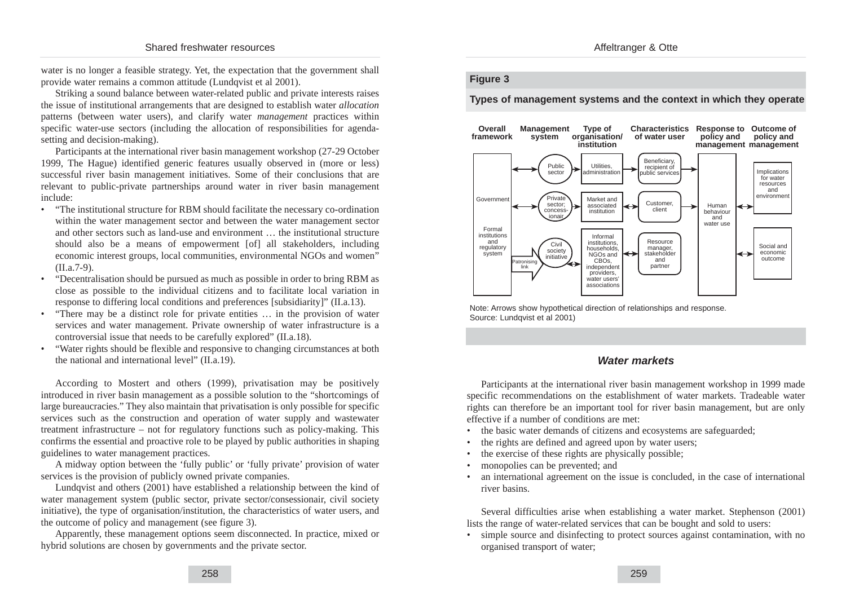water is no longer a feasible strategy. Yet, the expectation that the government shall provide water remains a common attitude (Lundqvist et al 2001).

Striking a sound balance between water-related public and private interests raises the issue of institutional arrangements that are designed to establish water *allocation* patterns (between water users), and clarify water *management* practices within specific water-use sectors (including the allocation of responsibilities for agendasetting and decision-making).

Participants at the international river basin management workshop (27-29 October 1999, The Hague) identified generic features usually observed in (more or less) successful river basin management initiatives. Some of their conclusions that are relevant to public-private partnerships around water in river basin management include:

- "The institutional structure for RBM should facilitate the necessary co-ordination within the water management sector and between the water management sector and other sectors such as land-use and environment … the institutional structure should also be a means of empowerment [of] all stakeholders, including economic interest groups, local communities, environmental NGOs and women" (II.a.7-9).
- "Decentralisation should be pursued as much as possible in order to bring RBM as close as possible to the individual citizens and to facilitate local variation in response to differing local conditions and preferences [subsidiarity]" (II.a.13).
- "There may be a distinct role for private entities … in the provision of water services and water management. Private ownership of water infrastructure is a controversial issue that needs to be carefully explored" (II.a.18).
- "Water rights should be flexible and responsive to changing circumstances at both the national and international level" (II.a.19).

According to Mostert and others (1999), privatisation may be positively introduced in river basin management as a possible solution to the "shortcomings of large bureaucracies." They also maintain that privatisation is only possible for specific services such as the construction and operation of water supply and wastewater treatment infrastructure – not for regulatory functions such as policy-making. This confirms the essential and proactive role to be played by public authorities in shaping guidelines to water management practices.

A midway option between the 'fully public' or 'fully private' provision of water services is the provision of publicly owned private companies.

Lundqvist and others (2001) have established a relationship between the kind of water management system (public sector, private sector/consessionair, civil society initiative), the type of organisation/institution, the characteristics of water users, and the outcome of policy and management (see figure 3).

Apparently, these management options seem disconnected. In practice, mixed or hybrid solutions are chosen by governments and the private sector.

#### **Figure 3**

**Types of management systems and the context in which they operate**



Note: Arrows show hypothetical direction of relationships and response. Source: Lundqvist et al 2001)

### **Water markets**

Participants at the international river basin management workshop in 1999 made specific recommendations on the establishment of water markets. Tradeable water rights can therefore be an important tool for river basin management, but are only effective if a number of conditions are met:

- the basic water demands of citizens and ecosystems are safeguarded;
- the rights are defined and agreed upon by water users;
- the exercise of these rights are physically possible;
- monopolies can be prevented; and
- an international agreement on the issue is concluded, in the case of international river basins.

Several difficulties arise when establishing a water market. Stephenson (2001) lists the range of water-related services that can be bought and sold to users:

simple source and disinfecting to protect sources against contamination, with no organised transport of water;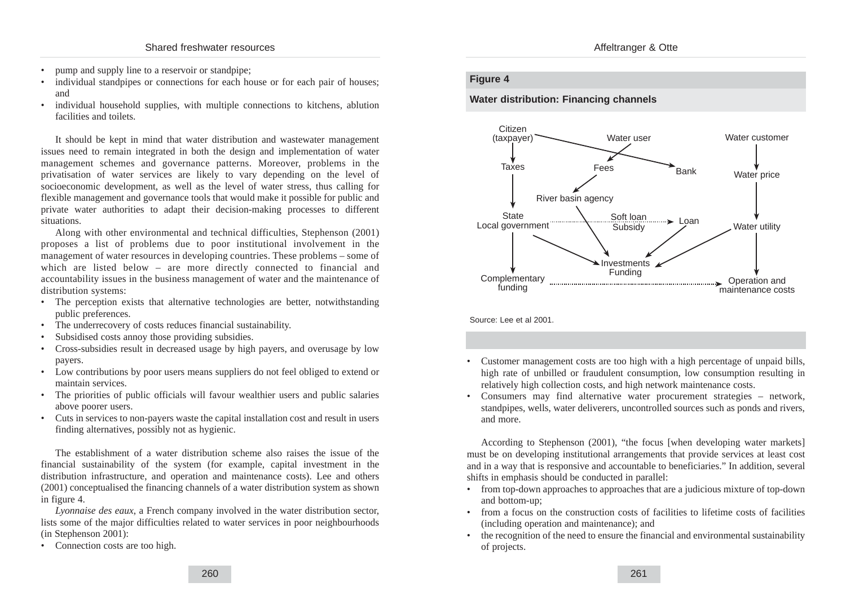- pump and supply line to a reservoir or standpipe:
- individual standpipes or connections for each house or for each pair of houses; and
- individual household supplies, with multiple connections to kitchens, ablution facilities and toilets.

It should be kept in mind that water distribution and wastewater management issues need to remain integrated in both the design and implementation of water management schemes and governance patterns. Moreover, problems in the privatisation of water services are likely to vary depending on the level of socioeconomic development, as well as the level of water stress, thus calling for flexible management and governance tools that would make it possible for public and private water authorities to adapt their decision-making processes to different situations.

Along with other environmental and technical difficulties, Stephenson (2001) proposes a list of problems due to poor institutional involvement in the management of water resources in developing countries. These problems – some of which are listed below – are more directly connected to financial and accountability issues in the business management of water and the maintenance of distribution systems:

- The perception exists that alternative technologies are better, notwithstanding public preferences.
- The underrecovery of costs reduces financial sustainability.
- Subsidised costs annoy those providing subsidies.
- Cross-subsidies result in decreased usage by high payers, and overusage by low payers.
- Low contributions by poor users means suppliers do not feel obliged to extend or maintain services.
- The priorities of public officials will favour wealthier users and public salaries above poorer users.
- Cuts in services to non-payers waste the capital installation cost and result in users finding alternatives, possibly not as hygienic.

The establishment of a water distribution scheme also raises the issue of the financial sustainability of the system (for example, capital investment in the distribution infrastructure, and operation and maintenance costs). Lee and others (2001) conceptualised the financing channels of a water distribution system as shown in figure 4.

*Lyonnaise des eaux*, a French company involved in the water distribution sector, lists some of the major difficulties related to water services in poor neighbourhoods (in Stephenson 2001):

• Connection costs are too high.

### **Figure 4**

**Water distribution: Financing channels**



Source: Lee et al 2001.

- Customer management costs are too high with a high percentage of unpaid bills, high rate of unbilled or fraudulent consumption, low consumption resulting in relatively high collection costs, and high network maintenance costs.
- Consumers may find alternative water procurement strategies network, standpipes, wells, water deliverers, uncontrolled sources such as ponds and rivers, and more.

According to Stephenson (2001), "the focus [when developing water markets] must be on developing institutional arrangements that provide services at least cost and in a way that is responsive and accountable to beneficiaries." In addition, several shifts in emphasis should be conducted in parallel:

- from top-down approaches to approaches that are a judicious mixture of top-down and bottom-up;
- from a focus on the construction costs of facilities to lifetime costs of facilities (including operation and maintenance); and
- the recognition of the need to ensure the financial and environmental sustainability of projects.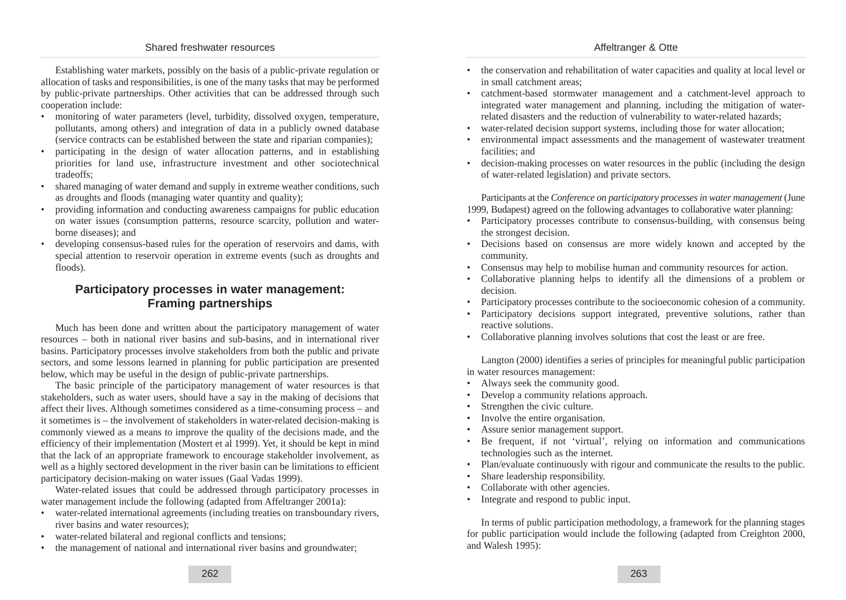Establishing water markets, possibly on the basis of a public-private regulation or allocation of tasks and responsibilities, is one of the many tasks that may be performed by public-private partnerships. Other activities that can be addressed through such cooperation include:

- monitoring of water parameters (level, turbidity, dissolved oxygen, temperature, pollutants, among others) and integration of data in a publicly owned database (service contracts can be established between the state and riparian companies);
- participating in the design of water allocation patterns, and in establishing priorities for land use, infrastructure investment and other sociotechnical tradeoffs;
- shared managing of water demand and supply in extreme weather conditions, such as droughts and floods (managing water quantity and quality);
- providing information and conducting awareness campaigns for public education on water issues (consumption patterns, resource scarcity, pollution and waterborne diseases); and
- developing consensus-based rules for the operation of reservoirs and dams, with special attention to reservoir operation in extreme events (such as droughts and floods).

## **Participatory processes in water management: Framing partnerships**

Much has been done and written about the participatory management of water resources – both in national river basins and sub-basins, and in international river basins. Participatory processes involve stakeholders from both the public and private sectors, and some lessons learned in planning for public participation are presented below, which may be useful in the design of public-private partnerships.

The basic principle of the participatory management of water resources is that stakeholders, such as water users, should have a say in the making of decisions that affect their lives. Although sometimes considered as a time-consuming process – and it sometimes is – the involvement of stakeholders in water-related decision-making is commonly viewed as a means to improve the quality of the decisions made, and the efficiency of their implementation (Mostert et al 1999). Yet, it should be kept in mind that the lack of an appropriate framework to encourage stakeholder involvement, as well as a highly sectored development in the river basin can be limitations to efficient participatory decision-making on water issues (Gaal Vadas 1999).

Water-related issues that could be addressed through participatory processes in water management include the following (adapted from Affeltranger 2001a):

- water-related international agreements (including treaties on transboundary rivers, river basins and water resources);
- water-related bilateral and regional conflicts and tensions;
- the management of national and international river basins and groundwater;
- the conservation and rehabilitation of water capacities and quality at local level or in small catchment areas;
- catchment-based stormwater management and a catchment-level approach to integrated water management and planning, including the mitigation of waterrelated disasters and the reduction of vulnerability to water-related hazards;
- water-related decision support systems, including those for water allocation;
- environmental impact assessments and the management of wastewater treatment facilities; and
- decision-making processes on water resources in the public (including the design of water-related legislation) and private sectors.

Participants at the *Conference on participatory processes in water management* (June 1999, Budapest) agreed on the following advantages to collaborative water planning:

- Participatory processes contribute to consensus-building, with consensus being the strongest decision.
- Decisions based on consensus are more widely known and accepted by the community.
- Consensus may help to mobilise human and community resources for action.
- Collaborative planning helps to identify all the dimensions of a problem or decision.
- Participatory processes contribute to the socioeconomic cohesion of a community.
- Participatory decisions support integrated, preventive solutions, rather than reactive solutions.
- Collaborative planning involves solutions that cost the least or are free.

Langton (2000) identifies a series of principles for meaningful public participation in water resources management:

- Always seek the community good.
- Develop a community relations approach.
- Strengthen the civic culture.
- Involve the entire organisation.
- Assure senior management support.
- Be frequent, if not 'virtual', relying on information and communications technologies such as the internet.
- Plan/evaluate continuously with rigour and communicate the results to the public.
- Share leadership responsibility.
- Collaborate with other agencies.
- Integrate and respond to public input.

In terms of public participation methodology, a framework for the planning stages for public participation would include the following (adapted from Creighton 2000, and Walesh 1995):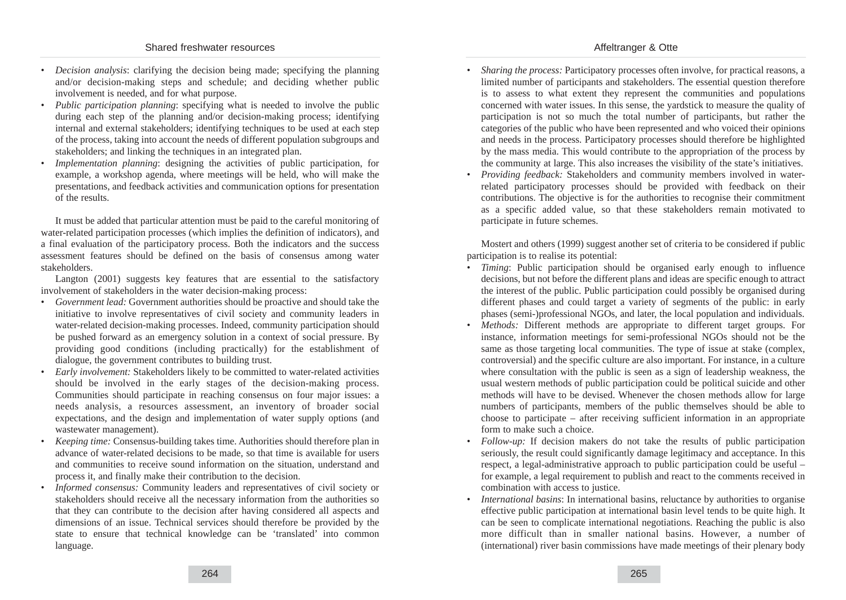- *Decision analysis*: clarifying the decision being made; specifying the planning and/or decision-making steps and schedule; and deciding whether public involvement is needed, and for what purpose.
- *Public participation planning*: specifying what is needed to involve the public during each step of the planning and/or decision-making process; identifying internal and external stakeholders; identifying techniques to be used at each step of the process, taking into account the needs of different population subgroups and stakeholders; and linking the techniques in an integrated plan.
- *Implementation planning*: designing the activities of public participation, for example, a workshop agenda, where meetings will be held, who will make the presentations, and feedback activities and communication options for presentation of the results.

It must be added that particular attention must be paid to the careful monitoring of water-related participation processes (which implies the definition of indicators), and a final evaluation of the participatory process. Both the indicators and the success assessment features should be defined on the basis of consensus among water stakeholders.

Langton (2001) suggests key features that are essential to the satisfactory involvement of stakeholders in the water decision-making process:

- *Government lead:* Government authorities should be proactive and should take the initiative to involve representatives of civil society and community leaders in water-related decision-making processes. Indeed, community participation should be pushed forward as an emergency solution in a context of social pressure. By providing good conditions (including practically) for the establishment of dialogue, the government contributes to building trust.
- *Early involvement:* Stakeholders likely to be committed to water-related activities should be involved in the early stages of the decision-making process. Communities should participate in reaching consensus on four major issues: a needs analysis, a resources assessment, an inventory of broader social expectations, and the design and implementation of water supply options (and wastewater management).
- *Keeping time:* Consensus-building takes time. Authorities should therefore plan in advance of water-related decisions to be made, so that time is available for users and communities to receive sound information on the situation, understand and process it, and finally make their contribution to the decision.
- *Informed consensus:* Community leaders and representatives of civil society or stakeholders should receive all the necessary information from the authorities so that they can contribute to the decision after having considered all aspects and dimensions of an issue. Technical services should therefore be provided by the state to ensure that technical knowledge can be 'translated' into common language.
- *Sharing the process:* Participatory processes often involve, for practical reasons, a limited number of participants and stakeholders. The essential question therefore is to assess to what extent they represent the communities and populations concerned with water issues. In this sense, the yardstick to measure the quality of participation is not so much the total number of participants, but rather the categories of the public who have been represented and who voiced their opinions and needs in the process. Participatory processes should therefore be highlighted by the mass media. This would contribute to the appropriation of the process by the community at large. This also increases the visibility of the state's initiatives.
- *Providing feedback:* Stakeholders and community members involved in waterrelated participatory processes should be provided with feedback on their contributions. The objective is for the authorities to recognise their commitment as a specific added value, so that these stakeholders remain motivated to participate in future schemes.

Mostert and others (1999) suggest another set of criteria to be considered if public participation is to realise its potential:

- *Timing*: Public participation should be organised early enough to influence decisions, but not before the different plans and ideas are specific enough to attract the interest of the public. Public participation could possibly be organised during different phases and could target a variety of segments of the public: in early phases (semi-)professional NGOs, and later, the local population and individuals.
- *Methods:* Different methods are appropriate to different target groups. For instance, information meetings for semi-professional NGOs should not be the same as those targeting local communities. The type of issue at stake (complex, controversial) and the specific culture are also important. For instance, in a culture where consultation with the public is seen as a sign of leadership weakness, the usual western methods of public participation could be political suicide and other methods will have to be devised. Whenever the chosen methods allow for large numbers of participants, members of the public themselves should be able to choose to participate – after receiving sufficient information in an appropriate form to make such a choice.
- *Follow-up:* If decision makers do not take the results of public participation seriously, the result could significantly damage legitimacy and acceptance. In this respect, a legal-administrative approach to public participation could be useful – for example, a legal requirement to publish and react to the comments received in combination with access to justice.
- *International basins*: In international basins, reluctance by authorities to organise effective public participation at international basin level tends to be quite high. It can be seen to complicate international negotiations. Reaching the public is also more difficult than in smaller national basins. However, a number of (international) river basin commissions have made meetings of their plenary body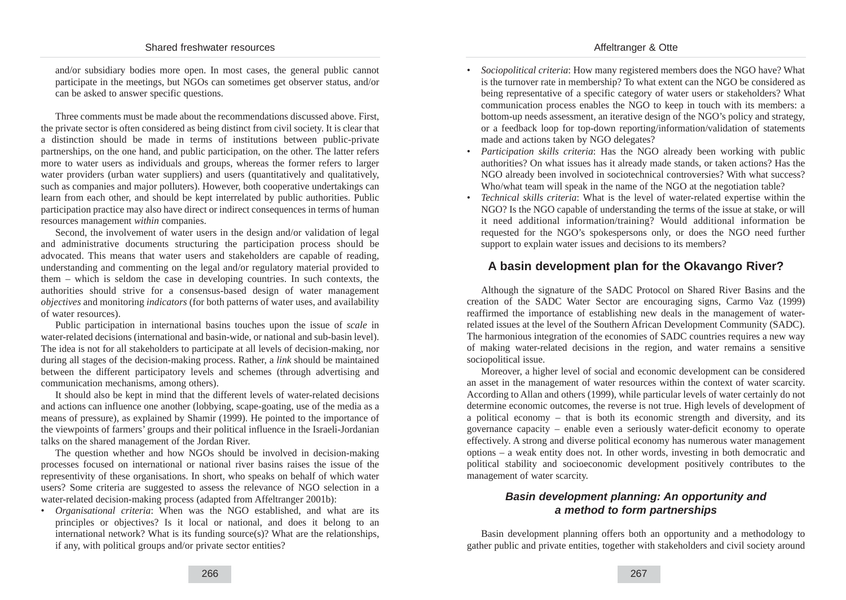and/or subsidiary bodies more open. In most cases, the general public cannot participate in the meetings, but NGOs can sometimes get observer status, and/or can be asked to answer specific questions.

Three comments must be made about the recommendations discussed above. First, the private sector is often considered as being distinct from civil society. It is clear that a distinction should be made in terms of institutions between public-private partnerships, on the one hand, and public participation, on the other. The latter refers more to water users as individuals and groups, whereas the former refers to larger water providers (urban water suppliers) and users (quantitatively and qualitatively, such as companies and major polluters). However, both cooperative undertakings can learn from each other, and should be kept interrelated by public authorities. Public participation practice may also have direct or indirect consequences in terms of human resources management *within* companies.

Second, the involvement of water users in the design and/or validation of legal and administrative documents structuring the participation process should be advocated. This means that water users and stakeholders are capable of reading, understanding and commenting on the legal and/or regulatory material provided to them – which is seldom the case in developing countries. In such contexts, the authorities should strive for a consensus-based design of water management *objectives* and monitoring *indicators* (for both patterns of water uses, and availability of water resources).

Public participation in international basins touches upon the issue of *scale* in water-related decisions (international and basin-wide, or national and sub-basin level). The idea is not for all stakeholders to participate at all levels of decision-making, nor during all stages of the decision-making process. Rather, a *link* should be maintained between the different participatory levels and schemes (through advertising and communication mechanisms, among others).

It should also be kept in mind that the different levels of water-related decisions and actions can influence one another (lobbying, scape-goating, use of the media as a means of pressure), as explained by Shamir (1999). He pointed to the importance of the viewpoints of farmers' groups and their political influence in the Israeli-Jordanian talks on the shared management of the Jordan River.

The question whether and how NGOs should be involved in decision-making processes focused on international or national river basins raises the issue of the representivity of these organisations. In short, who speaks on behalf of which water users? Some criteria are suggested to assess the relevance of NGO selection in a water-related decision-making process (adapted from Affeltranger 2001b):

• *Organisational criteria*: When was the NGO established, and what are its principles or objectives? Is it local or national, and does it belong to an international network? What is its funding source(s)? What are the relationships, if any, with political groups and/or private sector entities?

- *Sociopolitical criteria*: How many registered members does the NGO have? What is the turnover rate in membership? To what extent can the NGO be considered as being representative of a specific category of water users or stakeholders? What communication process enables the NGO to keep in touch with its members: a bottom-up needs assessment, an iterative design of the NGO's policy and strategy, or a feedback loop for top-down reporting/information/validation of statements made and actions taken by NGO delegates?
- *Participation skills criteria*: Has the NGO already been working with public authorities? On what issues has it already made stands, or taken actions? Has the NGO already been involved in sociotechnical controversies? With what success? Who/what team will speak in the name of the NGO at the negotiation table?
- *Technical skills criteria*: What is the level of water-related expertise within the NGO? Is the NGO capable of understanding the terms of the issue at stake, or will it need additional information/training? Would additional information be requested for the NGO's spokespersons only, or does the NGO need further support to explain water issues and decisions to its members?

### **A basin development plan for the Okavango River?**

Although the signature of the SADC Protocol on Shared River Basins and the creation of the SADC Water Sector are encouraging signs, Carmo Vaz (1999) reaffirmed the importance of establishing new deals in the management of waterrelated issues at the level of the Southern African Development Community (SADC). The harmonious integration of the economies of SADC countries requires a new way of making water-related decisions in the region, and water remains a sensitive sociopolitical issue.

Moreover, a higher level of social and economic development can be considered an asset in the management of water resources within the context of water scarcity. According to Allan and others (1999), while particular levels of water certainly do not determine economic outcomes, the reverse is not true. High levels of development of a political economy – that is both its economic strength and diversity, and its governance capacity – enable even a seriously water-deficit economy to operate effectively. A strong and diverse political economy has numerous water management options – a weak entity does not. In other words, investing in both democratic and political stability and socioeconomic development positively contributes to the management of water scarcity.

### **Basin development planning: An opportunity and a method to form partnerships**

Basin development planning offers both an opportunity and a methodology to gather public and private entities, together with stakeholders and civil society around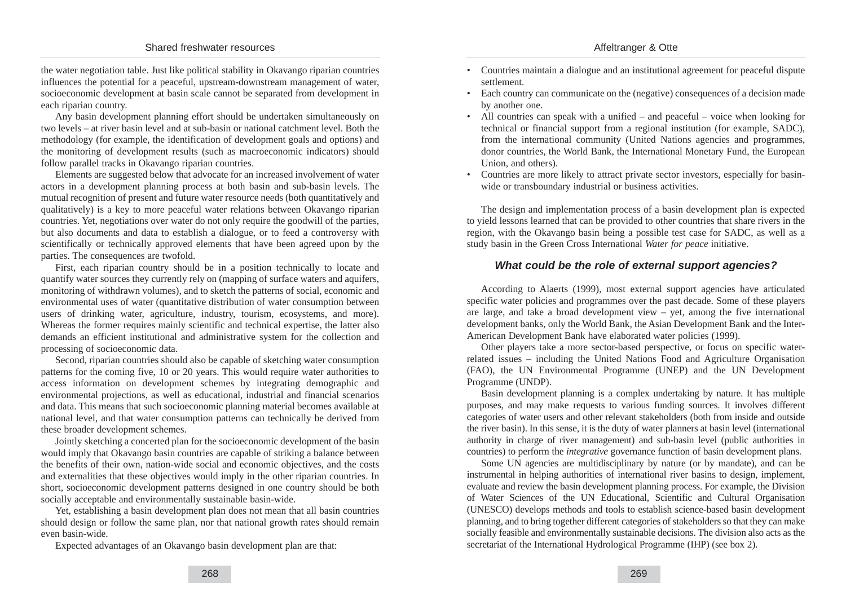the water negotiation table. Just like political stability in Okavango riparian countries influences the potential for a peaceful, upstream-downstream management of water, socioeconomic development at basin scale cannot be separated from development in each riparian country.

Any basin development planning effort should be undertaken simultaneously on two levels – at river basin level and at sub-basin or national catchment level. Both the methodology (for example, the identification of development goals and options) and the monitoring of development results (such as macroeconomic indicators) should follow parallel tracks in Okavango riparian countries.

Elements are suggested below that advocate for an increased involvement of water actors in a development planning process at both basin and sub-basin levels. The mutual recognition of present and future water resource needs (both quantitatively and qualitatively) is a key to more peaceful water relations between Okavango riparian countries. Yet, negotiations over water do not only require the goodwill of the parties, but also documents and data to establish a dialogue, or to feed a controversy with scientifically or technically approved elements that have been agreed upon by the parties. The consequences are twofold.

First, each riparian country should be in a position technically to locate and quantify water sources they currently rely on (mapping of surface waters and aquifers, monitoring of withdrawn volumes), and to sketch the patterns of social, economic and environmental uses of water (quantitative distribution of water consumption between users of drinking water, agriculture, industry, tourism, ecosystems, and more). Whereas the former requires mainly scientific and technical expertise, the latter also demands an efficient institutional and administrative system for the collection and processing of socioeconomic data.

Second, riparian countries should also be capable of sketching water consumption patterns for the coming five, 10 or 20 years. This would require water authorities to access information on development schemes by integrating demographic and environmental projections, as well as educational, industrial and financial scenarios and data. This means that such socioeconomic planning material becomes available at national level, and that water consumption patterns can technically be derived from these broader development schemes.

Jointly sketching a concerted plan for the socioeconomic development of the basin would imply that Okavango basin countries are capable of striking a balance between the benefits of their own, nation-wide social and economic objectives, and the costs and externalities that these objectives would imply in the other riparian countries. In short, socioeconomic development patterns designed in one country should be both socially acceptable and environmentally sustainable basin-wide.

Yet, establishing a basin development plan does not mean that all basin countries should design or follow the same plan, nor that national growth rates should remain even basin-wide.

Expected advantages of an Okavango basin development plan are that:

- Countries maintain a dialogue and an institutional agreement for peaceful dispute settlement.
- Each country can communicate on the (negative) consequences of a decision made by another one.
- All countries can speak with a unified and peaceful voice when looking for technical or financial support from a regional institution (for example, SADC), from the international community (United Nations agencies and programmes, donor countries, the World Bank, the International Monetary Fund, the European Union, and others).
- Countries are more likely to attract private sector investors, especially for basinwide or transboundary industrial or business activities.

The design and implementation process of a basin development plan is expected to yield lessons learned that can be provided to other countries that share rivers in the region, with the Okavango basin being a possible test case for SADC, as well as a study basin in the Green Cross International *Water for peace* initiative.

#### **What could be the role of external support agencies?**

According to Alaerts (1999), most external support agencies have articulated specific water policies and programmes over the past decade. Some of these players are large, and take a broad development view  $-$  yet, among the five international development banks, only the World Bank, the Asian Development Bank and the Inter-American Development Bank have elaborated water policies (1999).

Other players take a more sector-based perspective, or focus on specific waterrelated issues – including the United Nations Food and Agriculture Organisation (FAO), the UN Environmental Programme (UNEP) and the UN Development Programme (UNDP).

Basin development planning is a complex undertaking by nature. It has multiple purposes, and may make requests to various funding sources. It involves different categories of water users and other relevant stakeholders (both from inside and outside the river basin). In this sense, it is the duty of water planners at basin level (international authority in charge of river management) and sub-basin level (public authorities in countries) to perform the *integrative* governance function of basin development plans.

Some UN agencies are multidisciplinary by nature (or by mandate), and can be instrumental in helping authorities of international river basins to design, implement, evaluate and review the basin development planning process. For example, the Division of Water Sciences of the UN Educational, Scientific and Cultural Organisation (UNESCO) develops methods and tools to establish science-based basin development planning, and to bring together different categories of stakeholders so that they can make socially feasible and environmentally sustainable decisions. The division also acts as the secretariat of the International Hydrological Programme (IHP) (see box 2).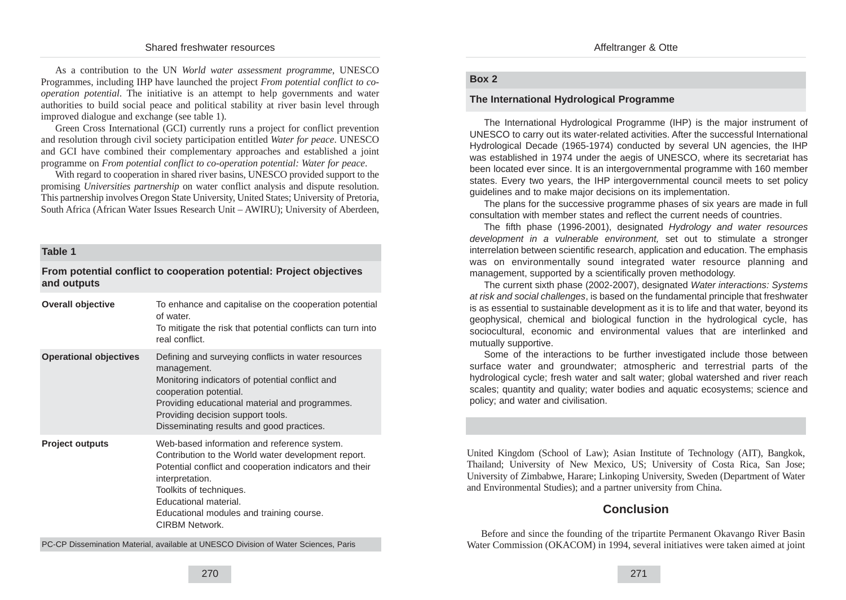As a contribution to the UN *World water assessment programme*, UNESCO Programmes, including IHP have launched the project *From potential conflict to cooperation potential*. The initiative is an attempt to help governments and water authorities to build social peace and political stability at river basin level through improved dialogue and exchange (see table 1).

Green Cross International (GCI) currently runs a project for conflict prevention and resolution through civil society participation entitled *Water for peace*. UNESCO and GCI have combined their complementary approaches and established a joint programme on *From potential conflict to co-operation potential: Water for peace*.

With regard to cooperation in shared river basins, UNESCO provided support to the promising *Universities partnership* on water conflict analysis and dispute resolution. This partnership involves Oregon State University, United States; University of Pretoria, South Africa (African Water Issues Research Unit – AWIRU); University of Aberdeen,

#### **Table 1**

**From potential conflict to cooperation potential: Project objectives and outputs**

| <b>Overall objective</b>      | To enhance and capitalise on the cooperation potential<br>of water.<br>To mitigate the risk that potential conflicts can turn into<br>real conflict.                                                                                                                                                      |
|-------------------------------|-----------------------------------------------------------------------------------------------------------------------------------------------------------------------------------------------------------------------------------------------------------------------------------------------------------|
| <b>Operational objectives</b> | Defining and surveying conflicts in water resources<br>management.<br>Monitoring indicators of potential conflict and<br>cooperation potential.<br>Providing educational material and programmes.<br>Providing decision support tools.<br>Disseminating results and good practices.                       |
| <b>Project outputs</b>        | Web-based information and reference system.<br>Contribution to the World water development report.<br>Potential conflict and cooperation indicators and their<br>interpretation.<br>Toolkits of techniques.<br>Educational material.<br>Educational modules and training course.<br><b>CIRBM Network.</b> |

PC-CP Dissemination Material, available at UNESCO Division of Water Sciences, Paris

#### **Box 2**

#### **The International Hydrological Programme**

The International Hydrological Programme (IHP) is the major instrument of UNESCO to carry out its water-related activities. After the successful International Hydrological Decade (1965-1974) conducted by several UN agencies, the IHP was established in 1974 under the aegis of UNESCO, where its secretariat has been located ever since. It is an intergovernmental programme with 160 member states. Every two years, the IHP intergovernmental council meets to set policy guidelines and to make major decisions on its implementation.

The plans for the successive programme phases of six years are made in full consultation with member states and reflect the current needs of countries.

The fifth phase (1996-2001), designated Hydrology and water resources development in a vulnerable environment, set out to stimulate a stronger interrelation between scientific research, application and education. The emphasis was on environmentally sound integrated water resource planning and management, supported by a scientifically proven methodology.

The current sixth phase (2002-2007), designated Water interactions: Systems at risk and social challenges, is based on the fundamental principle that freshwater is as essential to sustainable development as it is to life and that water, beyond its geophysical, chemical and biological function in the hydrological cycle, has sociocultural, economic and environmental values that are interlinked and mutually supportive.

Some of the interactions to be further investigated include those between surface water and groundwater; atmospheric and terrestrial parts of the hydrological cycle; fresh water and salt water; global watershed and river reach scales; quantity and quality; water bodies and aquatic ecosystems; science and policy; and water and civilisation.

United Kingdom (School of Law); Asian Institute of Technology (AIT), Bangkok, Thailand; University of New Mexico, US; University of Costa Rica, San Jose; University of Zimbabwe, Harare; Linkoping University, Sweden (Department of Water and Environmental Studies); and a partner university from China.

## **Conclusion**

Before and since the founding of the tripartite Permanent Okavango River Basin Water Commission (OKACOM) in 1994, several initiatives were taken aimed at joint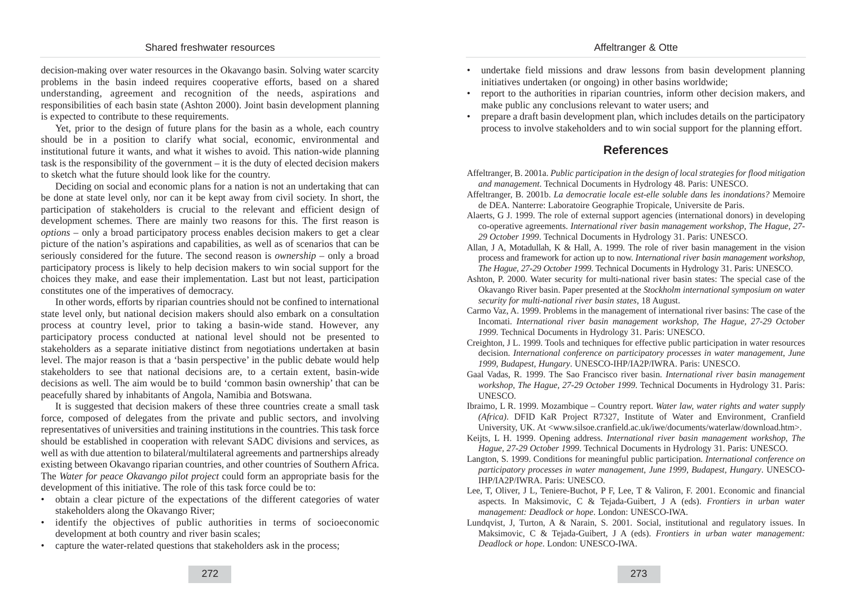decision-making over water resources in the Okavango basin. Solving water scarcity problems in the basin indeed requires cooperative efforts, based on a shared understanding, agreement and recognition of the needs, aspirations and responsibilities of each basin state (Ashton 2000). Joint basin development planning is expected to contribute to these requirements.

Yet, prior to the design of future plans for the basin as a whole, each country should be in a position to clarify what social, economic, environmental and institutional future it wants, and what it wishes to avoid. This nation-wide planning task is the responsibility of the government – it is the duty of elected decision makers to sketch what the future should look like for the country.

Deciding on social and economic plans for a nation is not an undertaking that can be done at state level only, nor can it be kept away from civil society. In short, the participation of stakeholders is crucial to the relevant and efficient design of development schemes. There are mainly two reasons for this. The first reason is *options* – only a broad participatory process enables decision makers to get a clear picture of the nation's aspirations and capabilities, as well as of scenarios that can be seriously considered for the future. The second reason is *ownership* – only a broad participatory process is likely to help decision makers to win social support for the choices they make, and ease their implementation. Last but not least, participation constitutes one of the imperatives of democracy.

In other words, efforts by riparian countries should not be confined to international state level only, but national decision makers should also embark on a consultation process at country level, prior to taking a basin-wide stand. However, any participatory process conducted at national level should not be presented to stakeholders as a separate initiative distinct from negotiations undertaken at basin level. The major reason is that a 'basin perspective' in the public debate would help stakeholders to see that national decisions are, to a certain extent, basin-wide decisions as well. The aim would be to build 'common basin ownership' that can be peacefully shared by inhabitants of Angola, Namibia and Botswana.

It is suggested that decision makers of these three countries create a small task force, composed of delegates from the private and public sectors, and involving representatives of universities and training institutions in the countries. This task force should be established in cooperation with relevant SADC divisions and services, as well as with due attention to bilateral/multilateral agreements and partnerships already existing between Okavango riparian countries, and other countries of Southern Africa. The *Water for peace Okavango pilot project* could form an appropriate basis for the development of this initiative. The role of this task force could be to:

- obtain a clear picture of the expectations of the different categories of water stakeholders along the Okavango River;
- identify the objectives of public authorities in terms of socioeconomic development at both country and river basin scales;
- capture the water-related questions that stakeholders ask in the process;
- undertake field missions and draw lessons from basin development planning initiatives undertaken (or ongoing) in other basins worldwide;
- report to the authorities in riparian countries, inform other decision makers, and make public any conclusions relevant to water users; and
- prepare a draft basin development plan, which includes details on the participatory process to involve stakeholders and to win social support for the planning effort.

## **References**

- Affeltranger, B. 2001a. *Public participation in the design of local strategies for flood mitigation and management*. Technical Documents in Hydrology 48. Paris: UNESCO.
- Affeltranger, B. 2001b. *La democratie locale est-elle soluble dans les inondations?* Memoire de DEA. Nanterre: Laboratoire Geographie Tropicale, Universite de Paris.
- Alaerts, G J. 1999. The role of external support agencies (international donors) in developing co-operative agreements. *International river basin management workshop, The Hague, 27- 29 October 1999*. Technical Documents in Hydrology 31. Paris: UNESCO.
- Allan, J A, Motadullah, K & Hall, A. 1999. The role of river basin management in the vision process and framework for action up to now. *International river basin management workshop, The Hague, 27-29 October 1999*. Technical Documents in Hydrology 31. Paris: UNESCO.
- Ashton, P. 2000. Water security for multi-national river basin states: The special case of the Okavango River basin. Paper presented at the *Stockholm international symposium on water security for multi-national river basin states*, 18 August.
- Carmo Vaz, A. 1999. Problems in the management of international river basins: The case of the Incomati. *International river basin management workshop, The Hague, 27-29 October 1999*. Technical Documents in Hydrology 31. Paris: UNESCO.
- Creighton, J L. 1999. Tools and techniques for effective public participation in water resources decision. *International conference on participatory processes in water management*, *June 1999, Budapest, Hungary*. UNESCO-IHP/IA2P/IWRA. Paris: UNESCO.
- Gaal Vadas, R. 1999. The Sao Francisco river basin. *International river basin management workshop, The Hague, 27-29 October 1999*. Technical Documents in Hydrology 31. Paris: UNESCO.
- Ibraimo, L R. 1999. Mozambique Country report. *Water law, water rights and water supply (Africa)*. DFID KaR Project R7327, Institute of Water and Environment, Cranfield University, UK. At <www.silsoe.cranfield.ac.uk/iwe/documents/waterlaw/download.htm>.
- Keijts, L H. 1999. Opening address. *International river basin management workshop, The Hague, 27-29 October 1999*. Technical Documents in Hydrology 31. Paris: UNESCO.
- Langton, S. 1999. Conditions for meaningful public participation. *International conference on participatory processes in water management*, *June 1999, Budapest, Hungary*. UNESCO-IHP/IA2P/IWRA. Paris: UNESCO.
- Lee, T, Oliver, J L, Teniere-Buchot, P F, Lee, T & Valiron, F. 2001. Economic and financial aspects. In Maksimovic, C & Tejada-Guibert, J A (eds). *Frontiers in urban water management: Deadlock or hope*. London: UNESCO-IWA.
- Lundqvist, J, Turton, A & Narain, S. 2001. Social, institutional and regulatory issues. In Maksimovic, C & Tejada-Guibert, J A (eds). *Frontiers in urban water management: Deadlock or hope*. London: UNESCO-IWA.